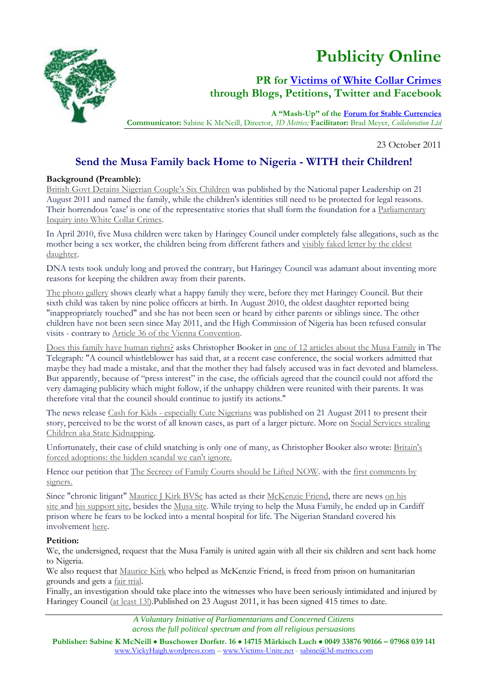



# **PR for [Victims of White Collar Crimes](http://victims-unite.net/) through Blogs, Petitions, Twitter and Facebook**

**A "Mash-Up" of the [Forum for Stable Currencies](http://forumforstablecurrencies.info/chronology/) Communicator:** Sabine K McNeill, Director, *3D Metrics;* **Facilitator:** Brad Meyer, *Collaboration Ltd*

23 October 2011

# **Send the Musa Family back Home to Nigeria - WITH their Children!**

#### <span id="page-0-0"></span>**Background (Preamble):**

[British Govt Detains Nigerian Couple's Six Children](http://leadership.ng/nga/articles/4068/2011/08/21/british_govt_detains_nigerian_couple%E2%80%99s_six_children.html) was published by the National paper Leadership on 21 August 2011 and named the family, while the children's identities still need to be protected for legal reasons. Their horrendous 'case' is one of the representative stories that shall form the foundation for a Parliamentary [Inquiry into White Collar Crimes.](http://www.gopetition.com/petitions/public-inquiry-into-white-collar-crimes.html) 

In April 2010, five Musa children were taken by Haringey Council under completely false allegations, such as the mother being a sex worker, the children being from different fathers and visibly faked letter by the eldest [daughter.](http://mauricejohnkirk.wordpress.com/2011/09/10/maurice-takes-on-board-the-secrecy-of-family-courts-should-be-lifted-now/)

DNA tests took unduly long and proved the contrary, but Haringey Council was adamant about inventing more reasons for keeping the children away from their parents.

[The photo gallery](http://gloriamusa.wordpress.com/photo-gallery/) shows clearly what a happy family they were, before they met Haringey Council. But their sixth child was taken by nine police officers at birth. In August 2010, the oldest daughter reported being "inappropriately touched" and she has not been seen or heard by either parents or siblings since. The other children have not been seen since May 2011, and the High Commission of Nigeria has been refused consular visits - contrary to [Article 36 of the Vienna Convention.](http://en.wikipedia.org/wiki/Vienna_Convention_on_Consular_Relations)

[Does this family have human rights?](http://www.telegraph.co.uk/comment/columnists/christopherbooker/8211955/Does-this-family-have-human-rights.html) asks Christopher Booker in [one of 12 articles about the Musa Family](http://gloriamusa.wordpress.com/public-support/booker-articles/) in The Telegraph: "A council whistleblower has said that, at a recent case conference, the social workers admitted that maybe they had made a mistake, and that the mother they had falsely accused was in fact devoted and blameless. But apparently, because of "press interest" in the case, the officials agreed that the council could not afford the very damaging publicity which might follow, if the unhappy children were reunited with their parents. It was therefore vital that the council should continue to justify its actions."

The news release Cash for Kids - [especially Cute Nigerians](http://publicityonline.files.wordpress.com/2011/08/11-08-21-cash-for-kids.pdf) was published on 21 August 2011 to present their story, perceived to be the worst of all known cases, as part of a larger picture. More on [Social Services stealing](http://victims-unite.net/2011/04/26/uk-social-services-stealing-children-aka-state-kidnapping/)  [Children aka State Kidnapping.](http://victims-unite.net/2011/04/26/uk-social-services-stealing-children-aka-state-kidnapping/)

Unfortunately, their case of child snatching is only one of many, as Christopher Booker also wrote: [Britain's](http://www.telegraph.co.uk/news/uknews/law-and-order/7931828/Britains-forced-adoptions-the-hidden-scandal-we-cant-ignore.html)  [forced adoptions: the hidden scandal we can't ignore.](http://www.telegraph.co.uk/news/uknews/law-and-order/7931828/Britains-forced-adoptions-the-hidden-scandal-we-cant-ignore.html)

Hence our petition that [The Secrecy of Family Courts should be Lifted NOW.](http://www.gopetition.com/petitions/the-secrecy-of-the-family-courts-should-be-lifted-now.html) with the [first comments by](http://gloriamusa.files.wordpress.com/2011/08/11-08-20-send-the-musas-home.pdf)  [signers.](http://gloriamusa.files.wordpress.com/2011/08/11-08-20-send-the-musas-home.pdf)

Since "chronic litigant" [Maurice J Kirk BVSc](http://kirkflyingvet.com/content/About.aspx) has acted as their [McKenzie Friend,](http://en.wikipedia.org/wiki/McKenzie_friend) there are news on his [site](http://kirkflyingvet.com/blogs/legal/archive/2011/09/09/haringey-council-s-solicitor-makes-false-claims-so-that-judge-imprisons-maurice-in-holborn.aspxnews) and [his support site,](http://mauricejohnkirk.wordpress.com/2011/09/10/maurice-takes-on-board-the-secrecy-of-family-courts-should-be-lifted-now/) besides the [Musa site.](http://gloriamusa.wordpress.com/about/) While trying to help the Musa Family, he ended up in Cardiff prison where he fears to be locked into a mental hospital for life. The Nigerian Standard covered his involvement [here.](http://www.nigeriastandardnewspaper.com/ED30crime.php)

#### **Petition:**

We, the undersigned, request that the Musa Family is united again with all their six children and sent back home to Nigeria.

We also request that [Maurice Kirk](http://mauricejohnkirk.files.wordpress.com/2011/10/11-10-21-kirk-govfax.pdf) who helped as McKenzie Friend, is freed from prison on humanitarian grounds and gets a [fair trial.](http://www.gopetition.com/www.gopetition.com/petition/40825.html)

Finally, an investigation should take place into the witnesses who have been seriously intimidated and injured by Haringey Council [\(at least 13!\)](http://gloriamusa.wordpress.com/witness-harassment/).Published on 23 August 2011, it has been signed 415 times to date.

> *A Voluntary Initiative of Parliamentarians and Concerned Citizens across the full political spectrum and from all religious persuasions*

**Publisher: Sabine K McNeill Buschower Dorfstr. 16 14715 Märkisch Luch 0049 33876 90166 – 07968 039 141** [www.VickyHaigh.wordpress.com](http://www.vickyhaigh.wordpress.com/) – [www.Victims-Unite.net](http://www.victims-unite.net/) - [sabine@3d-metrics.com](mailto:sabine@3d-metrics.com)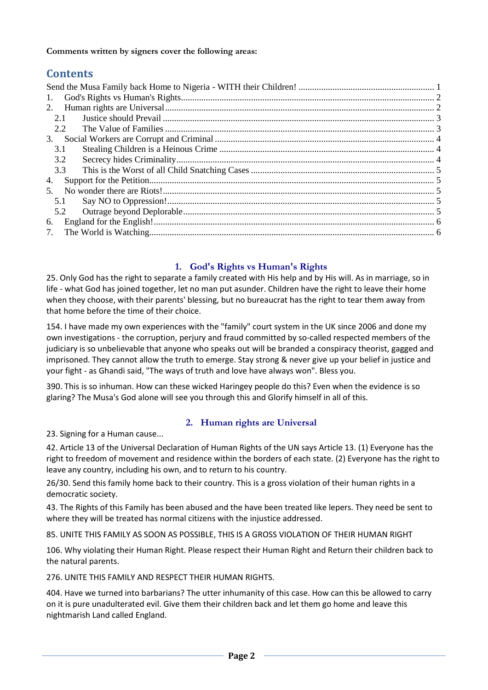### **Comments written by signers cover the following areas:**

# **Contents**

| $\mathbb{1}$ . |  |
|----------------|--|
| 2.             |  |
| 2.1            |  |
| 2.2            |  |
| 3.             |  |
| 3.1            |  |
| 3.2            |  |
| 3.3            |  |
| 4.             |  |
| 5.             |  |
| 5.1            |  |
| 5.2            |  |
| 6.             |  |
| 7.             |  |

## **1. God's Rights vs Human's Rights**

<span id="page-1-0"></span>25. Only God has the right to separate a family created with His help and by His will. As in marriage, so in life - what God has joined together, let no man put asunder. Children have the right to leave their home when they choose, with their parents' blessing, but no bureaucrat has the right to tear them away from that home before the time of their choice.

154. I have made my own experiences with the "family" court system in the UK since 2006 and done my own investigations - the corruption, perjury and fraud committed by so-called respected members of the judiciary is so unbelievable that anyone who speaks out will be branded a conspiracy theorist, gagged and imprisoned. They cannot allow the truth to emerge. Stay strong & never give up your belief in justice and your fight - as Ghandi said, "The ways of truth and love have always won". Bless you.

390. This is so inhuman. How can these wicked Haringey people do this? Even when the evidence is so glaring? The Musa's God alone will see you through this and Glorify himself in all of this.

# **2. Human rights are Universal**

<span id="page-1-1"></span>23. Signing for a Human cause...

42. Article 13 of the Universal Declaration of Human Rights of the UN says Article 13. (1) Everyone has the right to freedom of movement and residence within the borders of each state. (2) Everyone has the right to leave any country, including his own, and to return to his country.

26/30. Send this family home back to their country. This is a gross violation of their human rights in a democratic society.

43. The Rights of this Family has been abused and the have been treated like lepers. They need be sent to where they will be treated has normal citizens with the injustice addressed.

85. UNITE THIS FAMILY AS SOON AS POSSIBLE, THIS IS A GROSS VIOLATION OF THEIR HUMAN RIGHT

106. Why violating their Human Right. Please respect their Human Right and Return their children back to the natural parents.

276. UNITE THIS FAMILY AND RESPECT THEIR HUMAN RIGHTS.

404. Have we turned into barbarians? The utter inhumanity of this case. How can this be allowed to carry on it is pure unadulterated evil. Give them their children back and let them go home and leave this nightmarish Land called England.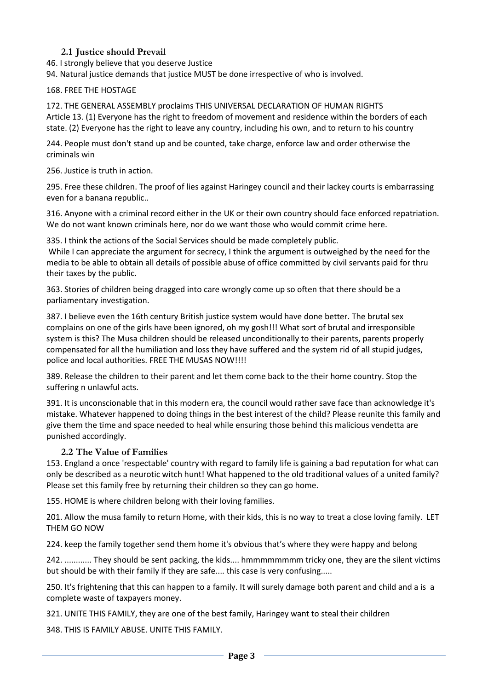## **2.1 Justice should Prevail**

<span id="page-2-0"></span>46. I strongly believe that you deserve Justice

94. Natural justice demands that justice MUST be done irrespective of who is involved.

### 168. FREE THE HOSTAGE

172. THE GENERAL ASSEMBLY proclaims THIS UNIVERSAL DECLARATION OF HUMAN RIGHTS Article 13. (1) Everyone has the right to freedom of movement and residence within the borders of each state. (2) Everyone has the right to leave any country, including his own, and to return to his country

244. People must don't stand up and be counted, take charge, enforce law and order otherwise the criminals win

256. Justice is truth in action.

295. Free these children. The proof of lies against Haringey council and their lackey courts is embarrassing even for a banana republic..

316. Anyone with a criminal record either in the UK or their own country should face enforced repatriation. We do not want known criminals here, nor do we want those who would commit crime here.

335. I think the actions of the Social Services should be made completely public. While I can appreciate the argument for secrecy, I think the argument is outweighed by the need for the media to be able to obtain all details of possible abuse of office committed by civil servants paid for thru their taxes by the public.

363. Stories of children being dragged into care wrongly come up so often that there should be a parliamentary investigation.

387. I believe even the 16th century British justice system would have done better. The brutal sex complains on one of the girls have been ignored, oh my gosh!!! What sort of brutal and irresponsible system is this? The Musa children should be released unconditionally to their parents, parents properly compensated for all the humiliation and loss they have suffered and the system rid of all stupid judges, police and local authorities. FREE THE MUSAS NOW!!!!

389. Release the children to their parent and let them come back to the their home country. Stop the suffering n unlawful acts.

391. It is unconscionable that in this modern era, the council would rather save face than acknowledge it's mistake. Whatever happened to doing things in the best interest of the child? Please reunite this family and give them the time and space needed to heal while ensuring those behind this malicious vendetta are punished accordingly.

## **2.2 The Value of Families**

<span id="page-2-1"></span>153. England a once 'respectable' country with regard to family life is gaining a bad reputation for what can only be described as a neurotic witch hunt! What happened to the old traditional values of a united family? Please set this family free by returning their children so they can go home.

155. HOME is where children belong with their loving families.

201. Allow the musa family to return Home, with their kids, this is no way to treat a close loving family. LET THEM GO NOW

224. keep the family together send them home it's obvious that's where they were happy and belong

242. ............ They should be sent packing, the kids.... hmmmmmmmm tricky one, they are the silent victims but should be with their family if they are safe.... this case is very confusing.....

250. It's frightening that this can happen to a family. It will surely damage both parent and child and a is a complete waste of taxpayers money.

321. UNITE THIS FAMILY, they are one of the best family, Haringey want to steal their children

348. THIS IS FAMILY ABUSE. UNITE THIS FAMILY.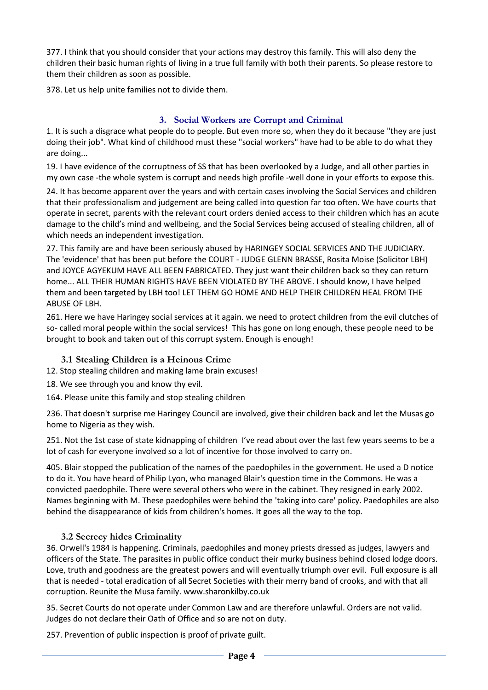377. I think that you should consider that your actions may destroy this family. This will also deny the children their basic human rights of living in a true full family with both their parents. So please restore to them their children as soon as possible.

378. Let us help unite families not to divide them.

## **3. Social Workers are Corrupt and Criminal**

<span id="page-3-0"></span>1. It is such a disgrace what people do to people. But even more so, when they do it because "they are just doing their job". What kind of childhood must these "social workers" have had to be able to do what they are doing...

19. I have evidence of the corruptness of SS that has been overlooked by a Judge, and all other parties in my own case -the whole system is corrupt and needs high profile -well done in your efforts to expose this.

24. It has become apparent over the years and with certain cases involving the Social Services and children that their professionalism and judgement are being called into question far too often. We have courts that operate in secret, parents with the relevant court orders denied access to their children which has an acute damage to the child's mind and wellbeing, and the Social Services being accused of stealing children, all of which needs an independent investigation.

27. This family are and have been seriously abused by HARINGEY SOCIAL SERVICES AND THE JUDICIARY. The 'evidence' that has been put before the COURT - JUDGE GLENN BRASSE, Rosita Moise (Solicitor LBH) and JOYCE AGYEKUM HAVE ALL BEEN FABRICATED. They just want their children back so they can return home... ALL THEIR HUMAN RIGHTS HAVE BEEN VIOLATED BY THE ABOVE. I should know, I have helped them and been targeted by LBH too! LET THEM GO HOME AND HELP THEIR CHILDREN HEAL FROM THE ABUSE OF LBH.

261. Here we have Haringey social services at it again. we need to protect children from the evil clutches of so- called moral people within the social services! This has gone on long enough, these people need to be brought to book and taken out of this corrupt system. Enough is enough!

## **3.1 Stealing Children is a Heinous Crime**

- <span id="page-3-1"></span>12. Stop stealing children and making lame brain excuses!
- 18. We see through you and know thy evil.
- 164. Please unite this family and stop stealing children

236. That doesn't surprise me Haringey Council are involved, give their children back and let the Musas go home to Nigeria as they wish.

251. Not the 1st case of state kidnapping of children I've read about over the last few years seems to be a lot of cash for everyone involved so a lot of incentive for those involved to carry on.

405. Blair stopped the publication of the names of the paedophiles in the government. He used a D notice to do it. You have heard of Philip Lyon, who managed Blair's question time in the Commons. He was a convicted paedophile. There were several others who were in the cabinet. They resigned in early 2002. Names beginning with M. These paedophiles were behind the 'taking into care' policy. Paedophiles are also behind the disappearance of kids from children's homes. It goes all the way to the top.

## **3.2 Secrecy hides Criminality**

<span id="page-3-2"></span>36. Orwell's 1984 is happening. Criminals, paedophiles and money priests dressed as judges, lawyers and officers of the State. The parasites in public office conduct their murky business behind closed lodge doors. Love, truth and goodness are the greatest powers and will eventually triumph over evil. Full exposure is all that is needed - total eradication of all Secret Societies with their merry band of crooks, and with that all corruption. Reunite the Musa family. www.sharonkilby.co.uk

35. Secret Courts do not operate under Common Law and are therefore unlawful. Orders are not valid. Judges do not declare their Oath of Office and so are not on duty.

257. Prevention of public inspection is proof of private guilt.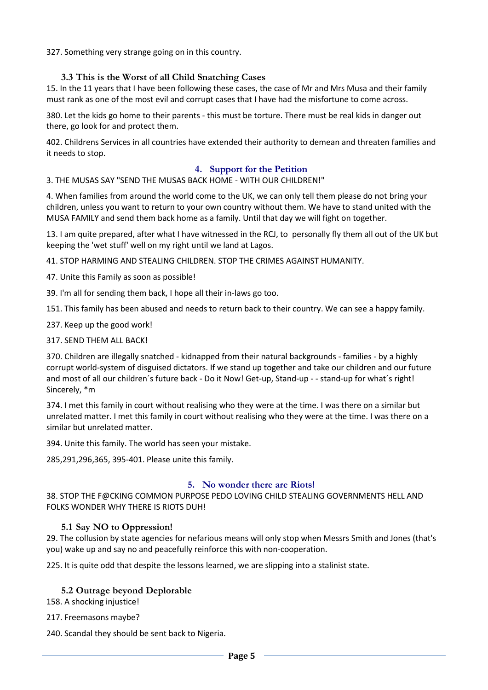327. Something very strange going on in this country.

### **3.3 This is the Worst of all Child Snatching Cases**

<span id="page-4-0"></span>15. In the 11 years that I have been following these cases, the case of Mr and Mrs Musa and their family must rank as one of the most evil and corrupt cases that I have had the misfortune to come across.

380. Let the kids go home to their parents - this must be torture. There must be real kids in danger out there, go look for and protect them.

402. Childrens Services in all countries have extended their authority to demean and threaten families and it needs to stop.

### **4. Support for the Petition**

<span id="page-4-1"></span>3. THE MUSAS SAY "SEND THE MUSAS BACK HOME - WITH OUR CHILDREN!"

4. When families from around the world come to the UK, we can only tell them please do not bring your children, unless you want to return to your own country without them. We have to stand united with the MUSA FAMILY and send them back home as a family. Until that day we will fight on together.

13. I am quite prepared, after what I have witnessed in the RCJ, to personally fly them all out of the UK but keeping the 'wet stuff' well on my right until we land at Lagos.

41. STOP HARMING AND STEALING CHILDREN. STOP THE CRIMES AGAINST HUMANITY.

47. Unite this Family as soon as possible!

39. I'm all for sending them back, I hope all their in-laws go too.

151. This family has been abused and needs to return back to their country. We can see a happy family.

237. Keep up the good work!

317. SEND THEM ALL BACK!

370. Children are illegally snatched - kidnapped from their natural backgrounds - families - by a highly corrupt world-system of disguised dictators. If we stand up together and take our children and our future and most of all our children's future back - Do it Now! Get-up, Stand-up - - stand-up for what's right! Sincerely, \*m

374. I met this family in court without realising who they were at the time. I was there on a similar but unrelated matter. I met this family in court without realising who they were at the time. I was there on a similar but unrelated matter.

394. Unite this family. The world has seen your mistake.

285,291,296,365, 395-401. Please unite this family.

#### **5. No wonder there are Riots!**

<span id="page-4-2"></span>38. STOP THE F@CKING COMMON PURPOSE PEDO LOVING CHILD STEALING GOVERNMENTS HELL AND FOLKS WONDER WHY THERE IS RIOTS DUH!

#### **5.1 Say NO to Oppression!**

<span id="page-4-3"></span>29. The collusion by state agencies for nefarious means will only stop when Messrs Smith and Jones (that's you) wake up and say no and peacefully reinforce this with non-cooperation.

225. It is quite odd that despite the lessons learned, we are slipping into a stalinist state.

#### **5.2 Outrage beyond Deplorable**

<span id="page-4-4"></span>158. A shocking injustice!

217. Freemasons maybe?

240. Scandal they should be sent back to Nigeria.